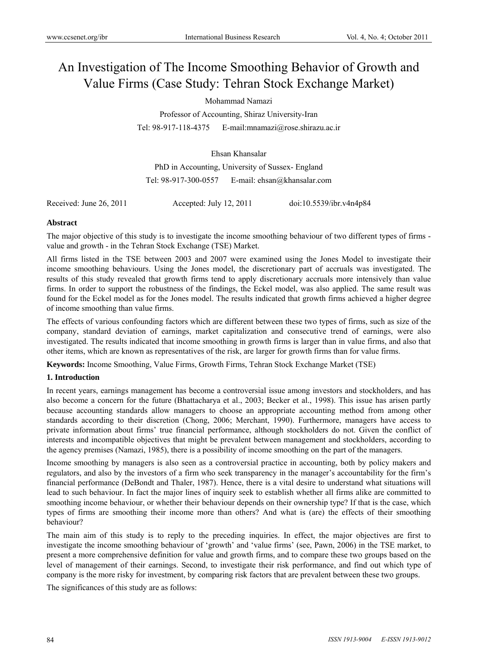# An Investigation of The Income Smoothing Behavior of Growth and Value Firms (Case Study: Tehran Stock Exchange Market)

Mohammad Namazi

Professor of Accounting, Shiraz University-Iran Tel: 98-917-118-4375 E-mail:mnamazi@rose.shirazu.ac.ir

Ehsan Khansalar

PhD in Accounting, University of Sussex- England Tel: 98-917-300-0557E-mail: ehsan@khansalar.com

Received: June 26, 2011 Accepted: July 12, 2011 doi:10.5539/ibr.v4n4p84

## **Abstract**

The major objective of this study is to investigate the income smoothing behaviour of two different types of firms value and growth - in the Tehran Stock Exchange (TSE) Market.

All firms listed in the TSE between 2003 and 2007 were examined using the Jones Model to investigate their income smoothing behaviours. Using the Jones model, the discretionary part of accruals was investigated. The results of this study revealed that growth firms tend to apply discretionary accruals more intensively than value firms. In order to support the robustness of the findings, the Eckel model, was also applied. The same result was found for the Eckel model as for the Jones model. The results indicated that growth firms achieved a higher degree of income smoothing than value firms.

The effects of various confounding factors which are different between these two types of firms, such as size of the company, standard deviation of earnings, market capitalization and consecutive trend of earnings, were also investigated. The results indicated that income smoothing in growth firms is larger than in value firms, and also that other items, which are known as representatives of the risk, are larger for growth firms than for value firms.

**Keywords:** Income Smoothing, Value Firms, Growth Firms, Tehran Stock Exchange Market (TSE)

# **1. Introduction**

In recent years, earnings management has become a controversial issue among investors and stockholders, and has also become a concern for the future (Bhattacharya et al., 2003; Becker et al., 1998). This issue has arisen partly because accounting standards allow managers to choose an appropriate accounting method from among other standards according to their discretion (Chong, 2006; Merchant, 1990). Furthermore, managers have access to private information about firms' true financial performance, although stockholders do not. Given the conflict of interests and incompatible objectives that might be prevalent between management and stockholders, according to the agency premises (Namazi, 1985), there is a possibility of income smoothing on the part of the managers.

Income smoothing by managers is also seen as a controversial practice in accounting, both by policy makers and regulators, and also by the investors of a firm who seek transparency in the manager's accountability for the firm's financial performance (DeBondt and Thaler, 1987). Hence, there is a vital desire to understand what situations will lead to such behaviour. In fact the major lines of inquiry seek to establish whether all firms alike are committed to smoothing income behaviour, or whether their behaviour depends on their ownership type? If that is the case, which types of firms are smoothing their income more than others? And what is (are) the effects of their smoothing behaviour?

The main aim of this study is to reply to the preceding inquiries. In effect, the major objectives are first to investigate the income smoothing behaviour of 'growth' and 'value firms' (see, Pawn, 2006) in the TSE market, to present a more comprehensive definition for value and growth firms, and to compare these two groups based on the level of management of their earnings. Second, to investigate their risk performance, and find out which type of company is the more risky for investment, by comparing risk factors that are prevalent between these two groups.

The significances of this study are as follows: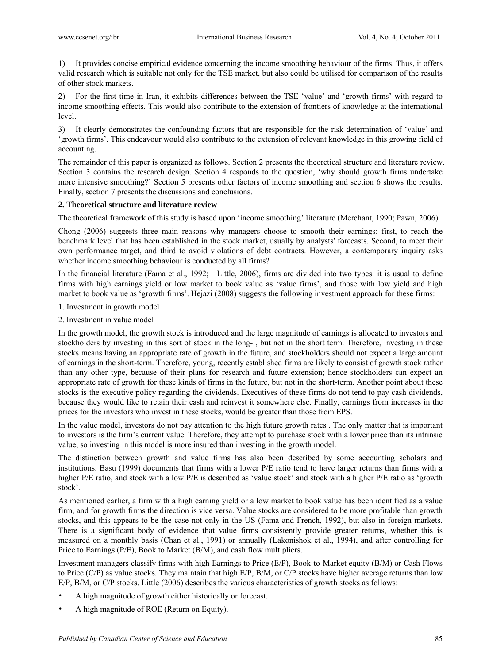1) It provides concise empirical evidence concerning the income smoothing behaviour of the firms. Thus, it offers valid research which is suitable not only for the TSE market, but also could be utilised for comparison of the results of other stock markets.

2) For the first time in Iran, it exhibits differences between the TSE 'value' and 'growth firms' with regard to income smoothing effects. This would also contribute to the extension of frontiers of knowledge at the international level.

3) It clearly demonstrates the confounding factors that are responsible for the risk determination of 'value' and 'growth firms'. This endeavour would also contribute to the extension of relevant knowledge in this growing field of accounting.

The remainder of this paper is organized as follows. Section 2 presents the theoretical structure and literature review. Section 3 contains the research design. Section 4 responds to the question, 'why should growth firms undertake more intensive smoothing?' Section 5 presents other factors of income smoothing and section 6 shows the results. Finally, section 7 presents the discussions and conclusions.

## **2. Theoretical structure and literature review**

The theoretical framework of this study is based upon 'income smoothing' literature (Merchant, 1990; Pawn, 2006).

Chong (2006) suggests three main reasons why managers choose to smooth their earnings: first, to reach the benchmark level that has been established in the stock market, usually by analysts' forecasts. Second, to meet their own performance target, and third to avoid violations of debt contracts. However, a contemporary inquiry asks whether income smoothing behaviour is conducted by all firms?

In the financial literature (Fama et al., 1992; Little, 2006), firms are divided into two types: it is usual to define firms with high earnings yield or low market to book value as 'value firms', and those with low yield and high market to book value as 'growth firms'. Hejazi (2008) suggests the following investment approach for these firms:

- 1. Investment in growth model
- 2. Investment in value model

In the growth model, the growth stock is introduced and the large magnitude of earnings is allocated to investors and stockholders by investing in this sort of stock in the long- , but not in the short term. Therefore, investing in these stocks means having an appropriate rate of growth in the future, and stockholders should not expect a large amount of earnings in the short-term. Therefore, young, recently established firms are likely to consist of growth stock rather than any other type, because of their plans for research and future extension; hence stockholders can expect an appropriate rate of growth for these kinds of firms in the future, but not in the short-term. Another point about these stocks is the executive policy regarding the dividends. Executives of these firms do not tend to pay cash dividends, because they would like to retain their cash and reinvest it somewhere else. Finally, earnings from increases in the prices for the investors who invest in these stocks, would be greater than those from EPS.

In the value model, investors do not pay attention to the high future growth rates . The only matter that is important to investors is the firm's current value. Therefore, they attempt to purchase stock with a lower price than its intrinsic value, so investing in this model is more insured than investing in the growth model.

The distinction between growth and value firms has also been described by some accounting scholars and institutions. Basu (1999) documents that firms with a lower P/E ratio tend to have larger returns than firms with a higher P/E ratio, and stock with a low P/E is described as 'value stock' and stock with a higher P/E ratio as 'growth stock'.

As mentioned earlier, a firm with a high earning yield or a low market to book value has been identified as a value firm, and for growth firms the direction is vice versa. Value stocks are considered to be more profitable than growth stocks, and this appears to be the case not only in the US (Fama and French, 1992), but also in foreign markets. There is a significant body of evidence that value firms consistently provide greater returns, whether this is measured on a monthly basis (Chan et al., 1991) or annually (Lakonishok et al., 1994), and after controlling for Price to Earnings (P/E), Book to Market (B/M), and cash flow multipliers.

Investment managers classify firms with high Earnings to Price (E/P), Book-to-Market equity (B/M) or Cash Flows to Price (C/P) as value stocks. They maintain that high E/P, B/M, or C/P stocks have higher average returns than low E/P, B/M, or C/P stocks. Little (2006) describes the various characteristics of growth stocks as follows:

- A high magnitude of growth either historically or forecast.
- A high magnitude of ROE (Return on Equity).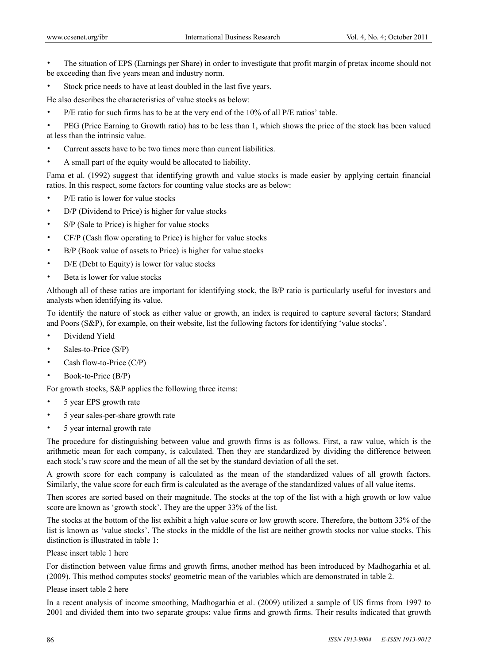- The situation of EPS (Earnings per Share) in order to investigate that profit margin of pretax income should not be exceeding than five years mean and industry norm.
- Stock price needs to have at least doubled in the last five years.

He also describes the characteristics of value stocks as below:

• P/E ratio for such firms has to be at the very end of the 10% of all P/E ratios' table.

• PEG (Price Earning to Growth ratio) has to be less than 1, which shows the price of the stock has been valued at less than the intrinsic value.

- Current assets have to be two times more than current liabilities.
- A small part of the equity would be allocated to liability.

Fama et al. (1992) suggest that identifying growth and value stocks is made easier by applying certain financial ratios. In this respect, some factors for counting value stocks are as below:

- P/E ratio is lower for value stocks
- D/P (Dividend to Price) is higher for value stocks
- S/P (Sale to Price) is higher for value stocks
- CF/P (Cash flow operating to Price) is higher for value stocks
- B/P (Book value of assets to Price) is higher for value stocks
- D/E (Debt to Equity) is lower for value stocks
- Beta is lower for value stocks

Although all of these ratios are important for identifying stock, the B/P ratio is particularly useful for investors and analysts when identifying its value.

To identify the nature of stock as either value or growth, an index is required to capture several factors; Standard and Poors (S&P), for example, on their website, list the following factors for identifying 'value stocks'.

- Dividend Yield
- Sales-to-Price (S/P)
- Cash flow-to-Price (C/P)
- Book-to-Price (B/P)

For growth stocks, S&P applies the following three items:

- 5 year EPS growth rate
- 5 year sales-per-share growth rate
- 5 year internal growth rate

The procedure for distinguishing between value and growth firms is as follows. First, a raw value, which is the arithmetic mean for each company, is calculated. Then they are standardized by dividing the difference between each stock's raw score and the mean of all the set by the standard deviation of all the set.

A growth score for each company is calculated as the mean of the standardized values of all growth factors. Similarly, the value score for each firm is calculated as the average of the standardized values of all value items.

Then scores are sorted based on their magnitude. The stocks at the top of the list with a high growth or low value score are known as 'growth stock'. They are the upper 33% of the list.

The stocks at the bottom of the list exhibit a high value score or low growth score. Therefore, the bottom 33% of the list is known as 'value stocks'. The stocks in the middle of the list are neither growth stocks nor value stocks. This distinction is illustrated in table 1:

#### Please insert table 1 here

For distinction between value firms and growth firms, another method has been introduced by Madhogarhia et al. (2009). This method computes stocks' geometric mean of the variables which are demonstrated in table 2.

#### Please insert table 2 here

In a recent analysis of income smoothing, Madhogarhia et al. (2009) utilized a sample of US firms from 1997 to 2001 and divided them into two separate groups: value firms and growth firms. Their results indicated that growth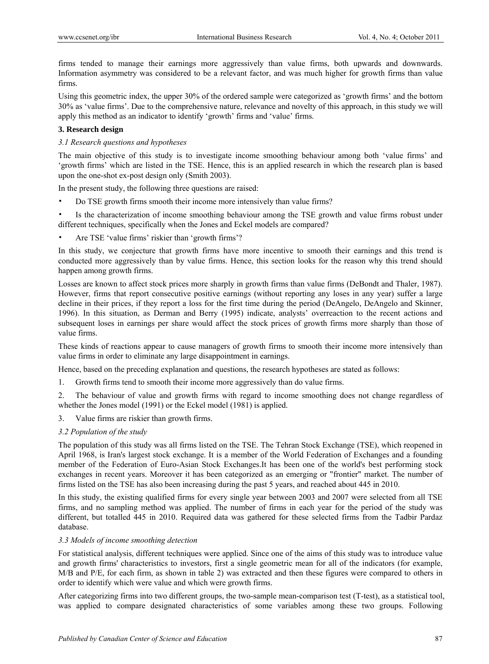firms tended to manage their earnings more aggressively than value firms, both upwards and downwards. Information asymmetry was considered to be a relevant factor, and was much higher for growth firms than value firms.

Using this geometric index, the upper 30% of the ordered sample were categorized as 'growth firms' and the bottom 30% as 'value firms'. Due to the comprehensive nature, relevance and novelty of this approach, in this study we will apply this method as an indicator to identify 'growth' firms and 'value' firms.

# **3. Research design**

#### *3.1 Research questions and hypotheses*

The main objective of this study is to investigate income smoothing behaviour among both 'value firms' and 'growth firms' which are listed in the TSE. Hence, this is an applied research in which the research plan is based upon the one-shot ex-post design only (Smith 2003).

In the present study, the following three questions are raised:

• Do TSE growth firms smooth their income more intensively than value firms?

Is the characterization of income smoothing behaviour among the TSE growth and value firms robust under different techniques, specifically when the Jones and Eckel models are compared?

Are TSE 'value firms' riskier than 'growth firms'?

In this study, we conjecture that growth firms have more incentive to smooth their earnings and this trend is conducted more aggressively than by value firms. Hence, this section looks for the reason why this trend should happen among growth firms.

Losses are known to affect stock prices more sharply in growth firms than value firms (DeBondt and Thaler, 1987). However, firms that report consecutive positive earnings (without reporting any loses in any year) suffer a large decline in their prices, if they report a loss for the first time during the period (DeAngelo, DeAngelo and Skinner, 1996). In this situation, as Derman and Berry (1995) indicate, analysts' overreaction to the recent actions and subsequent loses in earnings per share would affect the stock prices of growth firms more sharply than those of value firms.

These kinds of reactions appear to cause managers of growth firms to smooth their income more intensively than value firms in order to eliminate any large disappointment in earnings.

Hence, based on the preceding explanation and questions, the research hypotheses are stated as follows:

1. Growth firms tend to smooth their income more aggressively than do value firms.

2. The behaviour of value and growth firms with regard to income smoothing does not change regardless of whether the Jones model (1991) or the Eckel model (1981) is applied.

3. Value firms are riskier than growth firms.

#### *3.2 Population of the study*

The population of this study was all firms listed on the TSE. The Tehran Stock Exchange (TSE), which reopened in April 1968, is Iran's largest stock exchange. It is a member of the World Federation of Exchanges and a founding member of the Federation of Euro-Asian Stock Exchanges.It has been one of the world's best performing stock exchanges in recent years. Moreover it has been categorized as an emerging or "frontier" market. The number of firms listed on the TSE has also been increasing during the past 5 years, and reached about 445 in 2010.

In this study, the existing qualified firms for every single year between 2003 and 2007 were selected from all TSE firms, and no sampling method was applied. The number of firms in each year for the period of the study was different, but totalled 445 in 2010. Required data was gathered for these selected firms from the Tadbir Pardaz database.

#### *3.3 Models of income smoothing detection*

For statistical analysis, different techniques were applied. Since one of the aims of this study was to introduce value and growth firms' characteristics to investors, first a single geometric mean for all of the indicators (for example, M/B and P/E, for each firm, as shown in table 2) was extracted and then these figures were compared to others in order to identify which were value and which were growth firms.

After categorizing firms into two different groups, the two-sample mean-comparison test (T-test), as a statistical tool, was applied to compare designated characteristics of some variables among these two groups. Following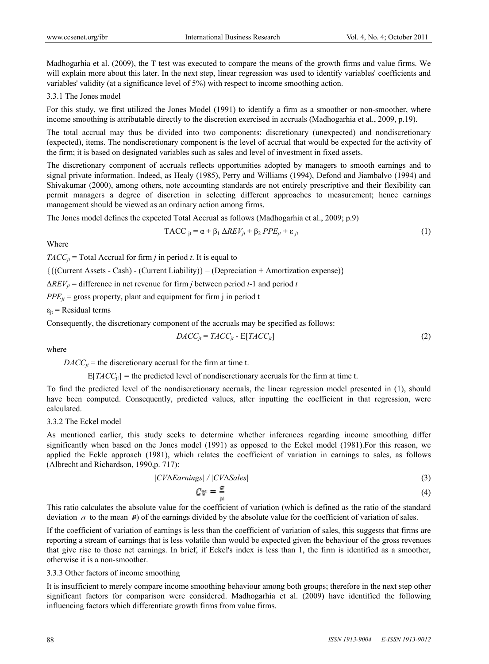Madhogarhia et al. (2009), the T test was executed to compare the means of the growth firms and value firms. We will explain more about this later. In the next step, linear regression was used to identify variables' coefficients and variables' validity (at a significance level of 5%) with respect to income smoothing action.

#### 3.3.1 The Jones model

For this study, we first utilized the Jones Model (1991) to identify a firm as a smoother or non-smoother, where income smoothing is attributable directly to the discretion exercised in accruals (Madhogarhia et al., 2009, p.19).

The total accrual may thus be divided into two components: discretionary (unexpected) and nondiscretionary (expected), items. The nondiscretionary component is the level of accrual that would be expected for the activity of the firm; it is based on designated variables such as sales and level of investment in fixed assets.

The discretionary component of accruals reflects opportunities adopted by managers to smooth earnings and to signal private information. Indeed, as Healy (1985), Perry and Williams (1994), Defond and Jiambalvo (1994) and Shivakumar (2000), among others, note accounting standards are not entirely prescriptive and their flexibility can permit managers a degree of discretion in selecting different approaches to measurement; hence earnings management should be viewed as an ordinary action among firms.

The Jones model defines the expected Total Accrual as follows (Madhogarhia et al., 2009; p.9)

$$
TACC_{jt} = \alpha + \beta_1 \Delta REV_{jt} + \beta_2 PPE_{jt} + \varepsilon_{jt}
$$
\n(1)

Where

 $TACC_{it}$  = Total Accrual for firm *j* in period *t*. It is equal to

{{(Current Assets - Cash) - (Current Liability)} – (Depreciation + Amortization expense)}

 $\Delta REV_i$  = difference in net revenue for firm *j* between period *t*-1 and period *t* 

 $PPE_{it}$  = gross property, plant and equipment for firm j in period t

 $\varepsilon_{it}$  = Residual terms

Consequently, the discretionary component of the accruals may be specified as follows:

$$
DAC_{ji} = TACC_{ji} - E[TACC_{ji}] \tag{2}
$$

where

 $DACC<sub>it</sub>$  = the discretionary accrual for the firm at time t.

 $E[TACC_{it}]$  = the predicted level of nondiscretionary accruals for the firm at time t.

To find the predicted level of the nondiscretionary accruals, the linear regression model presented in (1), should have been computed. Consequently, predicted values, after inputting the coefficient in that regression, were calculated.

#### 3.3.2 The Eckel model

As mentioned earlier, this study seeks to determine whether inferences regarding income smoothing differ significantly when based on the Jones model (1991) as opposed to the Eckel model (1981).For this reason, we applied the Eckle approach (1981), which relates the coefficient of variation in earnings to sales, as follows (Albrecht and Richardson, 1990,p. 717):

$$
|CV\Delta Earnings| / |CV\Delta Sales|
$$
 (3)

$$
Cv = \frac{\sigma}{\sigma} \tag{4}
$$

This ratio calculates the absolute value for the coefficient of variation (which is defined as the ratio of the standard deviation  $\sigma$  to the mean  $\mu$ ) of the earnings divided by the absolute value for the coefficient of variation of sales.

If the coefficient of variation of earnings is less than the coefficient of variation of sales, this suggests that firms are reporting a stream of earnings that is less volatile than would be expected given the behaviour of the gross revenues that give rise to those net earnings. In brief, if Eckel's index is less than 1, the firm is identified as a smoother, otherwise it is a non-smoother.

#### 3.3.3 Other factors of income smoothing

It is insufficient to merely compare income smoothing behaviour among both groups; therefore in the next step other significant factors for comparison were considered. Madhogarhia et al. (2009) have identified the following influencing factors which differentiate growth firms from value firms.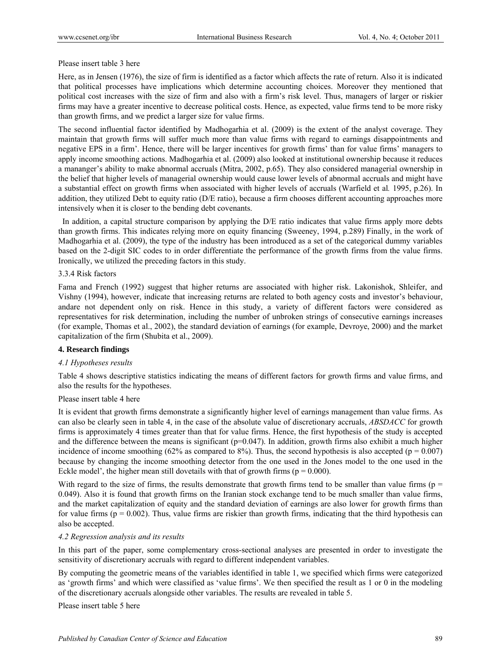#### Please insert table 3 here

Here, as in Jensen (1976), the size of firm is identified as a factor which affects the rate of return. Also it is indicated that political processes have implications which determine accounting choices. Moreover they mentioned that political cost increases with the size of firm and also with a firm's risk level. Thus, managers of larger or riskier firms may have a greater incentive to decrease political costs. Hence, as expected, value firms tend to be more risky than growth firms, and we predict a larger size for value firms.

The second influential factor identified by Madhogarhia et al. (2009) is the extent of the analyst coverage. They maintain that growth firms will suffer much more than value firms with regard to earnings disappointments and negative EPS in a firm'. Hence, there will be larger incentives for growth firms' than for value firms' managers to apply income smoothing actions. Madhogarhia et al. (2009) also looked at institutional ownership because it reduces a mananger's ability to make abnormal accruals (Mitra, 2002, p.65). They also considered managerial ownership in the belief that higher levels of managerial ownership would cause lower levels of abnormal accruals and might have a substantial effect on growth firms when associated with higher levels of accruals (Warfield et al*.* 1995, p.26). In addition, they utilized Debt to equity ratio (D/E ratio), because a firm chooses different accounting approaches more intensively when it is closer to the bending debt covenants.

 In addition, a capital structure comparison by applying the D/E ratio indicates that value firms apply more debts than growth firms. This indicates relying more on equity financing (Sweeney, 1994, p.289) Finally, in the work of Madhogarhia et al. (2009), the type of the industry has been introduced as a set of the categorical dummy variables based on the 2-digit SIC codes to in order differentiate the performance of the growth firms from the value firms. Ironically, we utilized the preceding factors in this study.

#### 3.3.4 Risk factors

Fama and French (1992) suggest that higher returns are associated with higher risk. Lakonishok, Shleifer, and Vishny (1994), however, indicate that increasing returns are related to both agency costs and investor's behaviour, andare not dependent only on risk. Hence in this study, a variety of different factors were considered as representatives for risk determination, including the number of unbroken strings of consecutive earnings increases (for example, Thomas et al., 2002), the standard deviation of earnings (for example, Devroye, 2000) and the market capitalization of the firm (Shubita et al., 2009).

#### **4. Research findings**

#### *4.1 Hypotheses results*

Table 4 shows descriptive statistics indicating the means of different factors for growth firms and value firms, and also the results for the hypotheses.

#### Please insert table 4 here

It is evident that growth firms demonstrate a significantly higher level of earnings management than value firms. As can also be clearly seen in table 4, in the case of the absolute value of discretionary accruals, *ABSDACC* for growth firms is approximately 4 times greater than that for value firms. Hence, the first hypothesis of the study is accepted and the difference between the means is significant (p=0.047). In addition, growth firms also exhibit a much higher incidence of income smoothing  $(62\%$  as compared to 8%). Thus, the second hypothesis is also accepted ( $p = 0.007$ ) because by changing the income smoothing detector from the one used in the Jones model to the one used in the Eckle model', the higher mean still dovetails with that of growth firms ( $p = 0.000$ ).

With regard to the size of firms, the results demonstrate that growth firms tend to be smaller than value firms ( $p =$ 0.049). Also it is found that growth firms on the Iranian stock exchange tend to be much smaller than value firms, and the market capitalization of equity and the standard deviation of earnings are also lower for growth firms than for value firms ( $p = 0.002$ ). Thus, value firms are riskier than growth firms, indicating that the third hypothesis can also be accepted.

#### *4.2 Regression analysis and its results*

In this part of the paper, some complementary cross-sectional analyses are presented in order to investigate the sensitivity of discretionary accruals with regard to different independent variables.

By computing the geometric means of the variables identified in table 1, we specified which firms were categorized as 'growth firms' and which were classified as 'value firms'. We then specified the result as 1 or 0 in the modeling of the discretionary accruals alongside other variables. The results are revealed in table 5.

Please insert table 5 here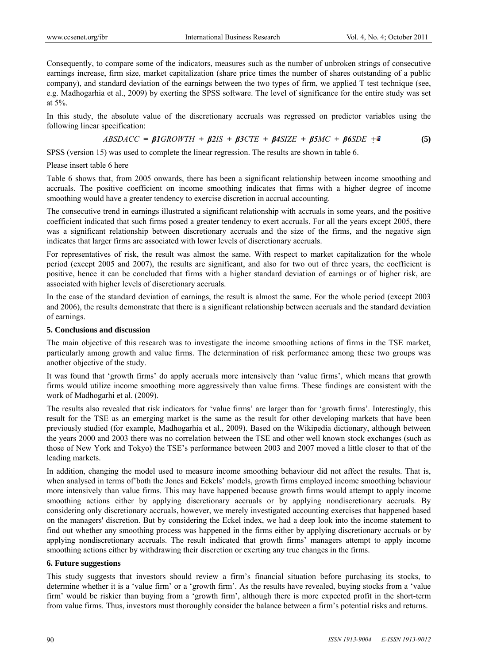Consequently, to compare some of the indicators, measures such as the number of unbroken strings of consecutive earnings increase, firm size, market capitalization (share price times the number of shares outstanding of a public company), and standard deviation of the earnings between the two types of firm, we applied T test technique (see, e.g. Madhogarhia et al., 2009) by exerting the SPSS software. The level of significance for the entire study was set at 5%.

In this study, the absolute value of the discretionary accruals was regressed on predictor variables using the following linear specification:

$$
ABSDACC = \beta 1 GROWTH + \beta 2IS + \beta 3CTE + \beta 4SIZE + \beta 5MC + \beta 6SDE + \epsilon
$$
 (5)

SPSS (version 15) was used to complete the linear regression. The results are shown in table 6.

#### Please insert table 6 here

Table 6 shows that, from 2005 onwards, there has been a significant relationship between income smoothing and accruals. The positive coefficient on income smoothing indicates that firms with a higher degree of income smoothing would have a greater tendency to exercise discretion in accrual accounting.

The consecutive trend in earnings illustrated a significant relationship with accruals in some years, and the positive coefficient indicated that such firms posed a greater tendency to exert accruals. For all the years except 2005, there was a significant relationship between discretionary accruals and the size of the firms, and the negative sign indicates that larger firms are associated with lower levels of discretionary accruals.

For representatives of risk, the result was almost the same. With respect to market capitalization for the whole period (except 2005 and 2007), the results are significant, and also for two out of three years, the coefficient is positive, hence it can be concluded that firms with a higher standard deviation of earnings or of higher risk, are associated with higher levels of discretionary accruals.

In the case of the standard deviation of earnings, the result is almost the same. For the whole period (except 2003 and 2006), the results demonstrate that there is a significant relationship between accruals and the standard deviation of earnings.

#### **5. Conclusions and discussion**

The main objective of this research was to investigate the income smoothing actions of firms in the TSE market, particularly among growth and value firms. The determination of risk performance among these two groups was another objective of the study.

It was found that 'growth firms' do apply accruals more intensively than 'value firms', which means that growth firms would utilize income smoothing more aggressively than value firms. These findings are consistent with the work of Madhogarhi et al. (2009).

The results also revealed that risk indicators for 'value firms' are larger than for 'growth firms'. Interestingly, this result for the TSE as an emerging market is the same as the result for other developing markets that have been previously studied (for example, Madhogarhia et al., 2009). Based on the Wikipedia dictionary, although between the years 2000 and 2003 there was no correlation between the TSE and other well known stock exchanges (such as those of New York and Tokyo) the TSE's performance between 2003 and 2007 moved a little closer to that of the leading markets.

In addition, changing the model used to measure income smoothing behaviour did not affect the results. That is, when analysed in terms of'both the Jones and Eckels' models, growth firms employed income smoothing behaviour more intensively than value firms. This may have happened because growth firms would attempt to apply income smoothing actions either by applying discretionary accruals or by applying nondiscretionary accruals. By considering only discretionary accruals, however, we merely investigated accounting exercises that happened based on the managers' discretion. But by considering the Eckel index, we had a deep look into the income statement to find out whether any smoothing process was happened in the firms either by applying discretionary accruals or by applying nondiscretionary accruals. The result indicated that growth firms' managers attempt to apply income smoothing actions either by withdrawing their discretion or exerting any true changes in the firms.

#### **6. Future suggestions**

This study suggests that investors should review a firm's financial situation before purchasing its stocks, to determine whether it is a 'value firm' or a 'growth firm'. As the results have revealed, buying stocks from a 'value firm' would be riskier than buying from a 'growth firm', although there is more expected profit in the short-term from value firms. Thus, investors must thoroughly consider the balance between a firm's potential risks and returns.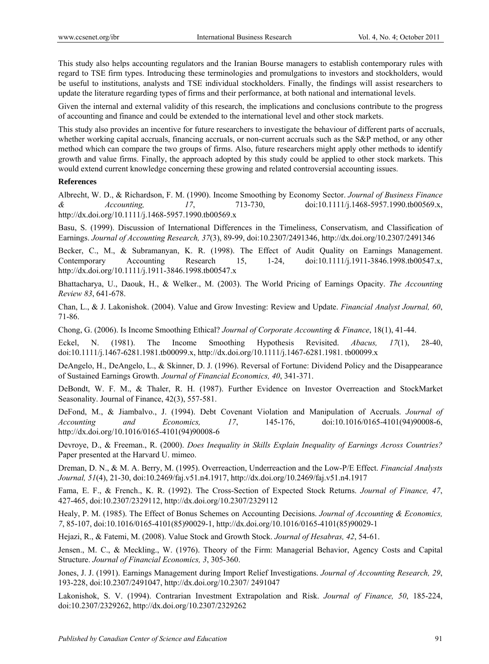This study also helps accounting regulators and the Iranian Bourse managers to establish contemporary rules with regard to TSE firm types. Introducing these terminologies and promulgations to investors and stockholders, would be useful to institutions, analysts and TSE individual stockholders. Finally, the findings will assist researchers to update the literature regarding types of firms and their performance, at both national and international levels.

Given the internal and external validity of this research, the implications and conclusions contribute to the progress of accounting and finance and could be extended to the international level and other stock markets.

This study also provides an incentive for future researchers to investigate the behaviour of different parts of accruals, whether working capital accruals, financing accruals, or non-current accruals such as the S&P method, or any other method which can compare the two groups of firms. Also, future researchers might apply other methods to identify growth and value firms. Finally, the approach adopted by this study could be applied to other stock markets. This would extend current knowledge concerning these growing and related controversial accounting issues.

#### **References**

Albrecht, W. D., & Richardson, F. M. (1990). Income Smoothing by Economy Sector. *Journal of Business Finance & Accounting, 17*, 713-730, doi:10.1111/j.1468-5957.1990.tb00569.x, http://dx.doi.org/10.1111/j.1468-5957.1990.tb00569.x

Basu, S. (1999). Discussion of International Differences in the Timeliness, Conservatism, and Classification of Earnings. *Journal of Accounting Research, 37*(3), 89-99, doi:10.2307/2491346, http://dx.doi.org/10.2307/2491346

Becker, C., M., & Subramanyan, K. R. (1998). The Effect of Audit Quality on Earnings Management. Contemporary Accounting Research 15, 1-24, doi:10.1111/j.1911-3846.1998.tb00547.x, http://dx.doi.org/10.1111/j.1911-3846.1998.tb00547.x

Bhattacharya, U., Daouk, H., & Welker., M. (2003). The World Pricing of Earnings Opacity. *The Accounting Review 83*, 641-678.

Chan, L., & J. Lakonishok. (2004). Value and Grow Investing: Review and Update. *Financial Analyst Journal, 60*, 71-86.

Chong, G. (2006). Is Income Smoothing Ethical? *Journal of Corporate Accounting & Finance*, 18(1), 41-44.

Eckel, N. (1981). The Income Smoothing Hypothesis Revisited. *Abacus, 17*(1), 28-40, doi:10.1111/j.1467-6281.1981.tb00099.x, http://dx.doi.org/10.1111/j.1467-6281.1981. tb00099.x

DeAngelo, H., DeAngelo, L., & Skinner, D. J. (1996). Reversal of Fortune: Dividend Policy and the Disappearance of Sustained Earnings Growth. *Journal of Financial Economics, 40*, 341-371.

DeBondt, W. F. M., & Thaler, R. H. (1987). Further Evidence on Investor Overreaction and StockMarket Seasonality. Journal of Finance, 42(3), 557-581.

DeFond, M., & Jiambalvo., J. (1994). Debt Covenant Violation and Manipulation of Accruals. *Journal of Accounting and Economics, 17*, 145-176, doi:10.1016/0165-4101(94)90008-6, http://dx.doi.org/10.1016/0165-4101(94)90008-6

Devroye, D., & Freeman., R. (2000). *Does Inequality in Skills Explain Inequality of Earnings Across Countries?* Paper presented at the Harvard U. mimeo.

Dreman, D. N., & M. A. Berry, M. (1995). Overreaction, Underreaction and the Low-P/E Effect. *Financial Analysts Journal, 51*(4), 21-30, doi:10.2469/faj.v51.n4.1917, http://dx.doi.org/10.2469/faj.v51.n4.1917

Fama, E. F., & French., K. R. (1992). The Cross-Section of Expected Stock Returns. *Journal of Finance, 47*, 427-465, doi:10.2307/2329112, http://dx.doi.org/10.2307/2329112

Healy, P. M. (1985). The Effect of Bonus Schemes on Accounting Decisions. *Journal of Accounting & Economics, 7*, 85-107, doi:10.1016/0165-4101(85)90029-1, http://dx.doi.org/10.1016/0165-4101(85)90029-1

Hejazi, R., & Fatemi, M. (2008). Value Stock and Growth Stock. *Journal of Hesabras, 42*, 54-61.

Jensen., M. C., & Meckling., W. (1976). Theory of the Firm: Managerial Behavior, Agency Costs and Capital Structure. *Journal of Financial Economics, 3*, 305-360.

Jones, J. J. (1991). Earnings Management during Import Relief Investigations. *Journal of Accounting Research, 29*, 193-228, doi:10.2307/2491047, http://dx.doi.org/10.2307/ 2491047

Lakonishok, S. V. (1994). Contrarian Investment Extrapolation and Risk. *Journal of Finance, 50*, 185-224, doi:10.2307/2329262, http://dx.doi.org/10.2307/2329262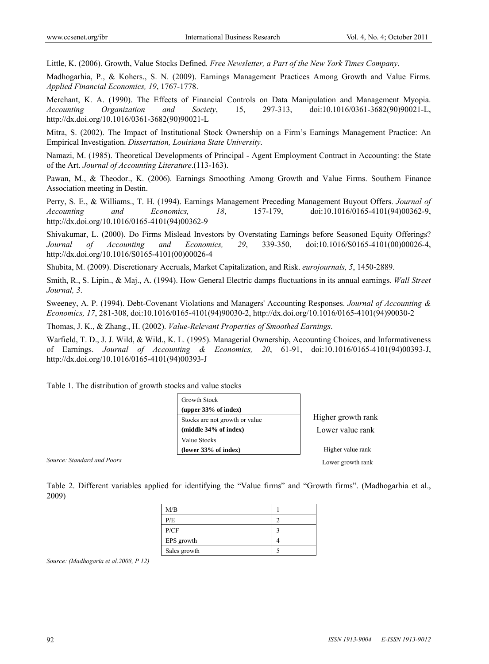Little, K. (2006). Growth, Value Stocks Defined*. Free Newsletter, a Part of the New York Times Company*.

Madhogarhia, P., & Kohers., S. N. (2009). Earnings Management Practices Among Growth and Value Firms. *Applied Financial Economics, 19*, 1767-1778.

Merchant, K. A. (1990). The Effects of Financial Controls on Data Manipulation and Management Myopia. *Accounting Organization and Society*, 15, 297-313, doi:10.1016/0361-3682(90)90021-L, http://dx.doi.org/10.1016/0361-3682(90)90021-L

Mitra, S. (2002). The Impact of Institutional Stock Ownership on a Firm's Earnings Management Practice: An Empirical Investigation. *Dissertation, Louisiana State University*.

Namazi, M. (1985). Theoretical Developments of Principal - Agent Employment Contract in Accounting: the State of the Art. *Journal of Accounting Literature*.(113-163).

Pawan, M., & Theodor., K. (2006). Earnings Smoothing Among Growth and Value Firms. Southern Finance Association meeting in Destin.

Perry, S. E., & Williams., T. H. (1994). Earnings Management Preceding Management Buyout Offers. *Journal of Accounting and Economics, 18*, 157-179, doi:10.1016/0165-4101(94)00362-9, http://dx.doi.org/10.1016/0165-4101(94)00362-9

Shivakumar, L. (2000). Do Firms Mislead Investors by Overstating Earnings before Seasoned Equity Offerings? *Journal of Accounting and Economics, 29*, 339-350, doi:10.1016/S0165-4101(00)00026-4, http://dx.doi.org/10.1016/S0165-4101(00)00026-4

Shubita, M. (2009). Discretionary Accruals, Market Capitalization, and Risk. *eurojournals, 5*, 1450-2889.

Smith, R., S. Lipin., & Maj., A. (1994). How General Electric damps fluctuations in its annual earnings. *Wall Street Journal, 3*.

Sweeney, A. P. (1994). Debt-Covenant Violations and Managers' Accounting Responses. *Journal of Accounting & Economics, 17*, 281-308, doi:10.1016/0165-4101(94)90030-2, http://dx.doi.org/10.1016/0165-4101(94)90030-2

Thomas, J. K., & Zhang., H. (2002). *Value-Relevant Properties of Smoothed Earnings*.

Warfield, T. D., J. J. Wild, & Wild., K. L. (1995). Managerial Ownership, Accounting Choices, and Informativeness of Earnings. *Journal of Accounting & Economics, 20*, 61-91, doi:10.1016/0165-4101(94)00393-J, http://dx.doi.org/10.1016/0165-4101(94)00393-J

Table 1. The distribution of growth stocks and value stocks

| Growth Stock                   |                    |
|--------------------------------|--------------------|
| (upper $33\%$ of index)        |                    |
| Stocks are not growth or value | Higher growth rank |
| (middle 34% of index)          | Lower value rank   |
| Value Stocks                   |                    |
| (lower 33% of index)           | Higher value rank  |

*Source: Standard and Poors* 

Lower growth rank

Table 2. Different variables applied for identifying the "Value firms" and "Growth firms". (Madhogarhia et al., 2009)

| M/B          |  |
|--------------|--|
| P/E          |  |
| P/CF         |  |
| EPS growth   |  |
| Sales growth |  |

*Source: (Madhogaria et al.2008, P 12)*